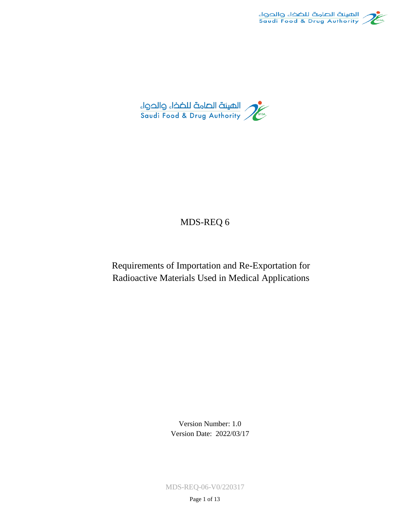



## MDS-REQ 6

Requirements of Importation and Re-Exportation for Radioactive Materials Used in Medical Applications

> Version Number: 1.0 Version Date: 2022/03/17

MDS-REQ-06-V0/220317

Page 1 of 13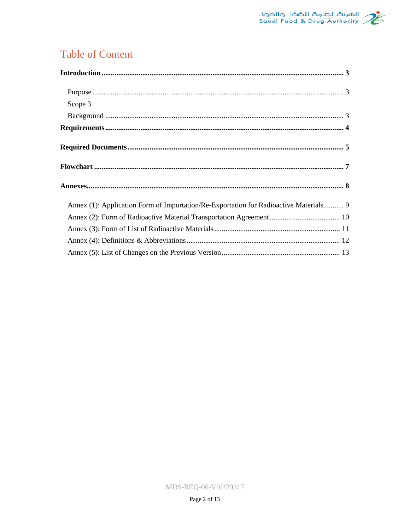

# **Table of Content**

| Scope 3                                                                               |
|---------------------------------------------------------------------------------------|
|                                                                                       |
|                                                                                       |
|                                                                                       |
|                                                                                       |
|                                                                                       |
| Annex (1): Application Form of Importation/Re-Exportation for Radioactive Materials 9 |
|                                                                                       |
|                                                                                       |
|                                                                                       |
|                                                                                       |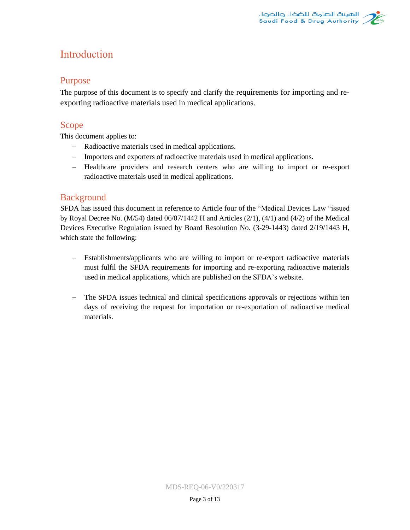# <span id="page-2-0"></span>Introduction

### <span id="page-2-1"></span>Purpose

The purpose of this document is to specify and clarify the requirements for importing and reexporting radioactive materials used in medical applications.

### <span id="page-2-2"></span>Scope

This document applies to:

- Radioactive materials used in medical applications.
- Importers and exporters of radioactive materials used in medical applications.
- Healthcare providers and research centers who are willing to import or re-export radioactive materials used in medical applications.

## <span id="page-2-3"></span>Background

SFDA has issued this document in reference to Article four of the "Medical Devices Law "issued by Royal Decree No. (M/54) dated 06/07/1442 H and Articles (2/1), (4/1) and (4/2) of the Medical Devices Executive Regulation issued by Board Resolution No. (3-29-1443) dated 2/19/1443 H, which state the following:

- Establishments/applicants who are willing to import or re-export radioactive materials must fulfil the SFDA requirements for importing and re-exporting radioactive materials used in medical applications, which are published on the SFDA's website.
- The SFDA issues technical and clinical specifications approvals or rejections within ten days of receiving the request for importation or re-exportation of radioactive medical materials.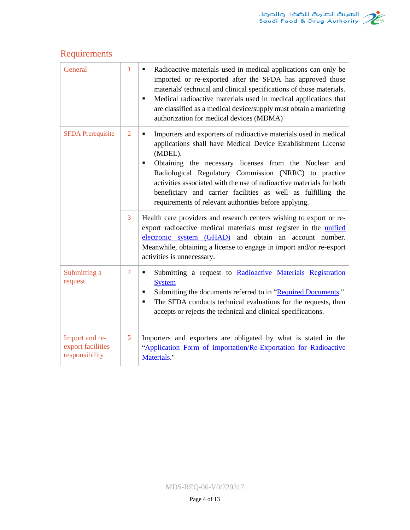# <span id="page-3-0"></span>Requirements

<span id="page-3-2"></span><span id="page-3-1"></span>

| General                                               | $\mathbf{1}$   | Radioactive materials used in medical applications can only be<br>٠<br>imported or re-exported after the SFDA has approved those<br>materials' technical and clinical specifications of those materials.<br>Medical radioactive materials used in medical applications that<br>٠<br>are classified as a medical device/supply must obtain a marketing<br>authorization for medical devices (MDMA)                                                                        |
|-------------------------------------------------------|----------------|--------------------------------------------------------------------------------------------------------------------------------------------------------------------------------------------------------------------------------------------------------------------------------------------------------------------------------------------------------------------------------------------------------------------------------------------------------------------------|
| <b>SFDA Prerequisite</b>                              | $\overline{2}$ | Importers and exporters of radioactive materials used in medical<br>٠<br>applications shall have Medical Device Establishment License<br>(MDEL).<br>Obtaining the necessary licenses from the Nuclear and<br>٠<br>Radiological Regulatory Commission (NRRC) to practice<br>activities associated with the use of radioactive materials for both<br>beneficiary and carrier facilities as well as fulfilling the<br>requirements of relevant authorities before applying. |
|                                                       | 3              | Health care providers and research centers wishing to export or re-<br>export radioactive medical materials must register in the unified<br>electronic system (GHAD) and obtain an account number.<br>Meanwhile, obtaining a license to engage in import and/or re-export<br>activities is unnecessary.                                                                                                                                                                  |
| Submitting a<br>request                               | $\overline{4}$ | Submitting a request to Radioactive Materials Registration<br>٠<br><b>System</b><br>Submitting the documents referred to in "Required Documents."<br>٠<br>The SFDA conducts technical evaluations for the requests, then<br>$\blacksquare$<br>accepts or rejects the technical and clinical specifications.                                                                                                                                                              |
| Import and re-<br>export facilities<br>responsibility | 5              | Importers and exporters are obligated by what is stated in the<br>"Application Form of Importation/Re-Exportation for Radioactive<br>Materials."                                                                                                                                                                                                                                                                                                                         |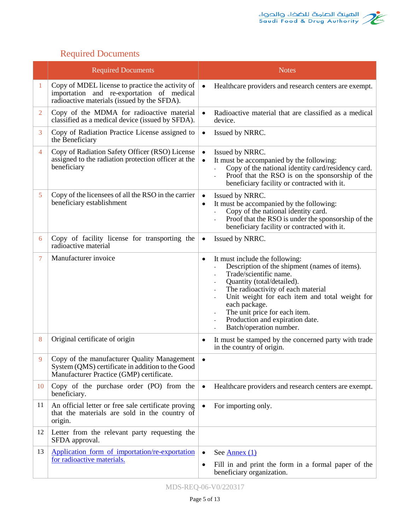

# Required Documents

|                | <b>Required Documents</b>                                                                                                                    | <b>Notes</b>                                                                                                                                                                                                                                                                                                                                         |
|----------------|----------------------------------------------------------------------------------------------------------------------------------------------|------------------------------------------------------------------------------------------------------------------------------------------------------------------------------------------------------------------------------------------------------------------------------------------------------------------------------------------------------|
| 1              | Copy of MDEL license to practice the activity of<br>importation and re-exportation of medical<br>radioactive materials (issued by the SFDA). | Healthcare providers and research centers are exempt.<br>$\bullet$                                                                                                                                                                                                                                                                                   |
| $\overline{2}$ | Copy of the MDMA for radioactive material<br>classified as a medical device (issued by SFDA).                                                | Radioactive material that are classified as a medical<br>$\bullet$<br>device.                                                                                                                                                                                                                                                                        |
| 3              | Copy of Radiation Practice License assigned to<br>the Beneficiary                                                                            | Issued by NRRC.<br>$\bullet$                                                                                                                                                                                                                                                                                                                         |
| 4              | Copy of Radiation Safety Officer (RSO) License<br>assigned to the radiation protection officer at the<br>beneficiary                         | Issued by NRRC.<br>$\bullet$<br>It must be accompanied by the following:<br>$\bullet$<br>Copy of the national identity card/residency card.<br>Proof that the RSO is on the sponsorship of the<br>$\bar{\phantom{a}}$<br>beneficiary facility or contracted with it.                                                                                 |
| 5              | Copy of the licensees of all the RSO in the carrier<br>beneficiary establishment                                                             | Issued by NRRC.<br>$\bullet$<br>It must be accompanied by the following:<br>$\bullet$<br>Copy of the national identity card.<br>Proof that the RSO is under the sponsorship of the<br>÷,<br>beneficiary facility or contracted with it.                                                                                                              |
| 6              | Copy of facility license for transporting the<br>radioactive material                                                                        | Issued by NRRC.<br>$\bullet$                                                                                                                                                                                                                                                                                                                         |
| 7              | Manufacturer invoice                                                                                                                         | It must include the following:<br>٠<br>Description of the shipment (names of items).<br>Trade/scientific name.<br>Quantity (total/detailed).<br>The radioactivity of each material<br>Unit weight for each item and total weight for<br>each package.<br>The unit price for each item.<br>Production and expiration date.<br>Batch/operation number. |
| 8              | Original certificate of origin                                                                                                               | It must be stamped by the concerned party with trade<br>٠<br>in the country of origin.                                                                                                                                                                                                                                                               |
| 9              | Copy of the manufacturer Quality Management<br>System (QMS) certificate in addition to the Good<br>Manufacturer Practice (GMP) certificate.  | $\bullet$                                                                                                                                                                                                                                                                                                                                            |
| 10             | Copy of the purchase order (PO) from the<br>beneficiary.                                                                                     | Healthcare providers and research centers are exempt.<br>$\bullet$                                                                                                                                                                                                                                                                                   |
| 11             | An official letter or free sale certificate proving<br>that the materials are sold in the country of<br>origin.                              | For importing only.<br>$\bullet$                                                                                                                                                                                                                                                                                                                     |
| 12             | Letter from the relevant party requesting the<br>SFDA approval.                                                                              |                                                                                                                                                                                                                                                                                                                                                      |
| 13             | Application form of importation/re-exportation                                                                                               | See $\underline{\text{Annex }(1)}$<br>$\bullet$                                                                                                                                                                                                                                                                                                      |
|                | for radioactive materials.                                                                                                                   | Fill in and print the form in a formal paper of the<br>٠<br>beneficiary organization.                                                                                                                                                                                                                                                                |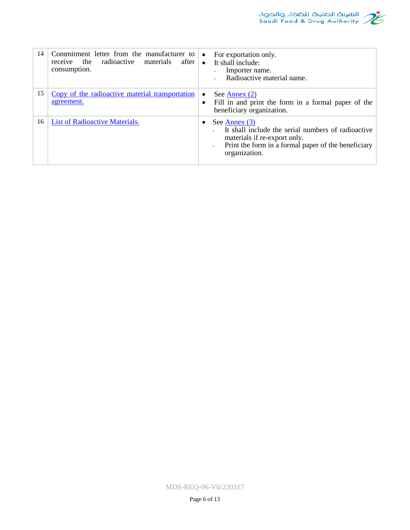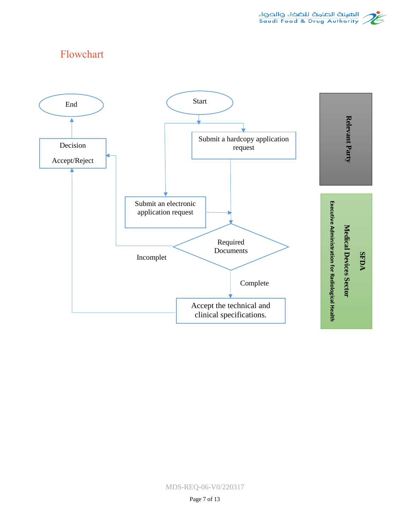

# <span id="page-6-0"></span>Flowchart



MDS-REQ-06-V0/220317

Page 7 of 13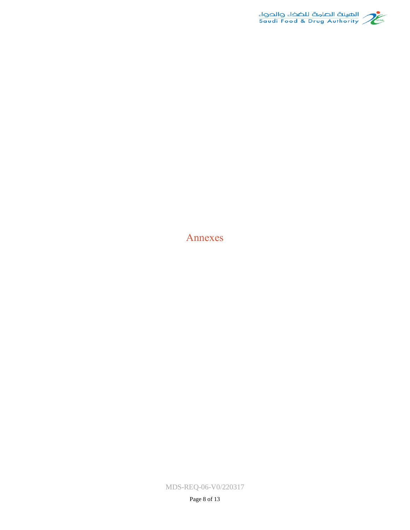

<span id="page-7-0"></span>Annexes

MDS-REQ-06-V0/220317

Page 8 of 13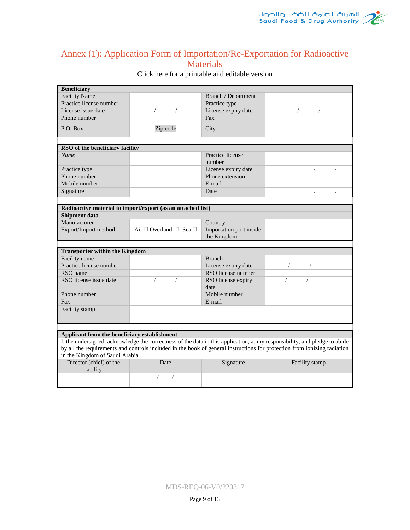

## <span id="page-8-0"></span>Annex (1): Application Form of Importation/Re-Exportation for Radioactive **Materials**

### **Beneficiary** Facility Name Branch / Department Practice license number Practice type License issue date / / / / License expiry date Phone number Fax P.O. Box Zip code City **RSO of the beneficiary facility** *Name* Practice license number Practice type License expiry date Phone number Phone extension Mobile number **E-mail** Signature Date / / **Radioactive material to import/export (as an attached list) Shipment data** Manufacturer Country Export/Import method Air  $\Box$  Overland  $\Box$  Sea  $\Box$  Importation port inside the Kingdom **Transporter within the Kingdom** Facility name Branch Practice license number License expiry date RSO name<br>
RSO license issue date<br>
(a)<br>
(b)<br>
(cense expiry<br>
(cense expiry<br>
(cense expiry<br>
(b)<br>
(cense expiry<br>
(cense expiry / RSO license expiry date / / Phone number Mobile number Fax E-mail Facility stamp

#### Click [here](http://www.sfda.gov.sa/ar/medicaldevices/WeaklyUpdateImplants/1%20Application.docx) for a printable and editable version

#### **Applicant from the beneficiary establishment**

I, the undersigned, acknowledge the correctness of the data in this application, at my responsibility, and pledge to abide by all the requirements and controls included in the book of general instructions for protection from ionizing radiation in the Kingdom of Saudi Arabia.

<span id="page-8-1"></span>

| Director (chief) of the<br>facility | Date <b>b</b> | Signature | Facility stamp |
|-------------------------------------|---------------|-----------|----------------|
|                                     |               |           |                |

MDS-REQ-06-V0/220317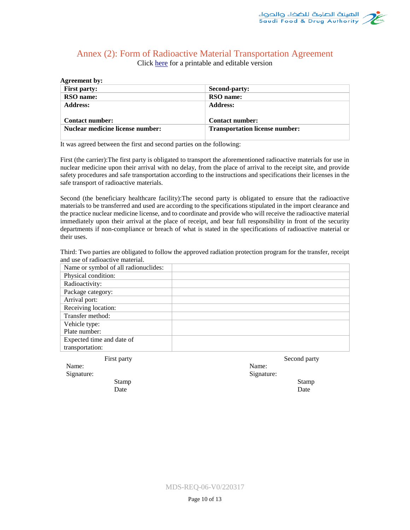# <span id="page-9-0"></span>Annex (2): Form of Radioactive Material Transportation Agreement

Click [here](http://www.sfda.gov.sa/ar/medicaldevices/WeaklyUpdateImplants/2%20Agreement.docx) for a printable and editable version

| Agreement by:                    |                                       |
|----------------------------------|---------------------------------------|
| <b>First party:</b>              | Second-party:                         |
| <b>RSO</b> name:                 | RSO name:                             |
| <b>Address:</b>                  | <b>Address:</b>                       |
|                                  |                                       |
| <b>Contact number:</b>           | <b>Contact number:</b>                |
| Nuclear medicine license number: | <b>Transportation license number:</b> |
|                                  |                                       |

It was agreed between the first and second parties on the following:

First (the carrier):The first party is obligated to transport the aforementioned radioactive materials for use in nuclear medicine upon their arrival with no delay, from the place of arrival to the receipt site, and provide safety procedures and safe transportation according to the instructions and specifications their licenses in the safe transport of radioactive materials.

Second (the beneficiary healthcare facility):The second party is obligated to ensure that the radioactive materials to be transferred and used are according to the specifications stipulated in the import clearance and the practice nuclear medicine license, and to coordinate and provide who will receive the radioactive material immediately upon their arrival at the place of receipt, and bear full responsibility in front of the security departments if non-compliance or breach of what is stated in the specifications of radioactive material or their uses.

Third: Two parties are obligated to follow the approved radiation protection program for the transfer, receipt and use of radioactive material.

| Name or symbol of all radionuclides: |  |
|--------------------------------------|--|
| Physical condition:                  |  |
| Radioactivity:                       |  |
| Package category:                    |  |
| Arrival port:                        |  |
| Receiving location:                  |  |
| Transfer method:                     |  |
| Vehicle type:                        |  |
| Plate number:                        |  |
| Expected time and date of            |  |
| transportation:                      |  |

First party

Name: Signature:

<span id="page-9-1"></span>**Agreement by:**

Stamp Date

Second party

Signature:

Name:

Stamp Date

MDS-REQ-06-V0/220317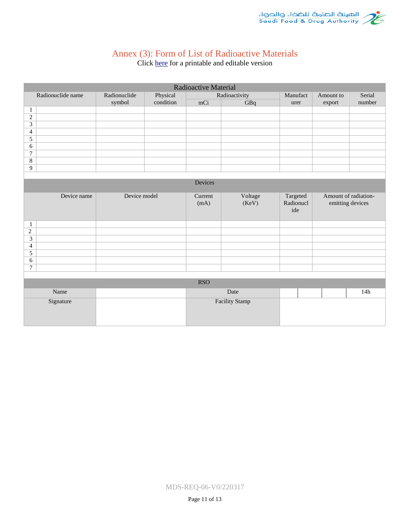

## Annex (3): Form of List of Radioactive Materials

Click [here](http://www.sfda.gov.sa/ar/medicaldevices/WeaklyUpdateImplants/3%20List.docx) for a printable and editable version

<span id="page-10-0"></span>

| Radioactive Material               |                          |           |                 |                  |                              |                  |                      |
|------------------------------------|--------------------------|-----------|-----------------|------------------|------------------------------|------------------|----------------------|
| Radionuclide name                  | Physical<br>Radionuclide |           | Radioactivity   | Manufact         | Amount to                    | Serial           |                      |
|                                    | symbol                   | condition | mCi             | GBq              | urer                         | export           | number               |
| $\mathbf{1}$                       |                          |           |                 |                  |                              |                  |                      |
| $\overline{2}$                     |                          |           |                 |                  |                              |                  |                      |
| $\overline{3}$                     |                          |           |                 |                  |                              |                  |                      |
| $\overline{4}$                     |                          |           |                 |                  |                              |                  |                      |
| $\overline{5}$                     |                          |           |                 |                  |                              |                  |                      |
| $\sqrt{6}$                         |                          |           |                 |                  |                              |                  |                      |
| $\boldsymbol{7}$                   |                          |           |                 |                  |                              |                  |                      |
| $8\,$                              |                          |           |                 |                  |                              |                  |                      |
| $\overline{9}$                     |                          |           |                 |                  |                              |                  |                      |
|                                    |                          |           |                 |                  |                              |                  |                      |
|                                    |                          |           | Devices         |                  |                              |                  |                      |
| Device name                        | Device model             |           | Current<br>(mA) | Voltage<br>(KeV) | Targeted<br>Radionucl<br>ide | emitting devices | Amount of radiation- |
| $\mathbf{1}$                       |                          |           |                 |                  |                              |                  |                      |
| $\sqrt{2}$                         |                          |           |                 |                  |                              |                  |                      |
| $\overline{3}$                     |                          |           |                 |                  |                              |                  |                      |
| $\overline{4}$                     |                          |           |                 |                  |                              |                  |                      |
| $\overline{5}$                     |                          |           |                 |                  |                              |                  |                      |
| $\sqrt{6}$                         |                          |           |                 |                  |                              |                  |                      |
| $\tau$                             |                          |           |                 |                  |                              |                  |                      |
|                                    |                          |           |                 |                  |                              |                  |                      |
| <b>RSO</b>                         |                          |           |                 |                  |                              |                  |                      |
| Name                               |                          |           |                 | Date             |                              |                  | 14h                  |
| <b>Facility Stamp</b><br>Signature |                          |           |                 |                  |                              |                  |                      |

MDS-REQ-06-V0/220317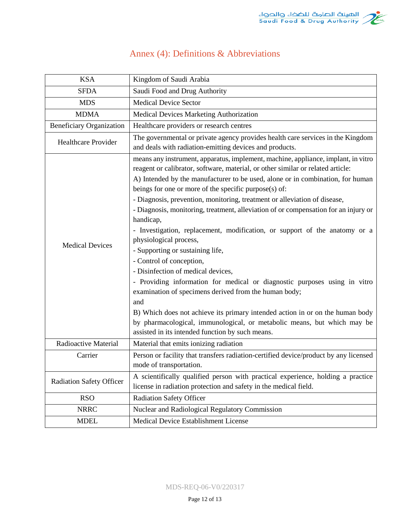|  |  |  |  | Annex (4): Definitions & Abbreviations |
|--|--|--|--|----------------------------------------|
|--|--|--|--|----------------------------------------|

<span id="page-11-0"></span>

| <b>KSA</b>                      | Kingdom of Saudi Arabia                                                                                                                                                                                                                                                                                                                                                                                                                                                                                                                                                                                                                                                                                                                                                                                                                                                                                                                                                                                                                                                     |
|---------------------------------|-----------------------------------------------------------------------------------------------------------------------------------------------------------------------------------------------------------------------------------------------------------------------------------------------------------------------------------------------------------------------------------------------------------------------------------------------------------------------------------------------------------------------------------------------------------------------------------------------------------------------------------------------------------------------------------------------------------------------------------------------------------------------------------------------------------------------------------------------------------------------------------------------------------------------------------------------------------------------------------------------------------------------------------------------------------------------------|
| <b>SFDA</b>                     | Saudi Food and Drug Authority                                                                                                                                                                                                                                                                                                                                                                                                                                                                                                                                                                                                                                                                                                                                                                                                                                                                                                                                                                                                                                               |
| <b>MDS</b>                      | <b>Medical Device Sector</b>                                                                                                                                                                                                                                                                                                                                                                                                                                                                                                                                                                                                                                                                                                                                                                                                                                                                                                                                                                                                                                                |
| <b>MDMA</b>                     | Medical Devices Marketing Authorization                                                                                                                                                                                                                                                                                                                                                                                                                                                                                                                                                                                                                                                                                                                                                                                                                                                                                                                                                                                                                                     |
| <b>Beneficiary Organization</b> | Healthcare providers or research centres                                                                                                                                                                                                                                                                                                                                                                                                                                                                                                                                                                                                                                                                                                                                                                                                                                                                                                                                                                                                                                    |
| <b>Healthcare Provider</b>      | The governmental or private agency provides health care services in the Kingdom<br>and deals with radiation-emitting devices and products.                                                                                                                                                                                                                                                                                                                                                                                                                                                                                                                                                                                                                                                                                                                                                                                                                                                                                                                                  |
| <b>Medical Devices</b>          | means any instrument, apparatus, implement, machine, appliance, implant, in vitro<br>reagent or calibrator, software, material, or other similar or related article:<br>A) Intended by the manufacturer to be used, alone or in combination, for human<br>beings for one or more of the specific purpose(s) of:<br>- Diagnosis, prevention, monitoring, treatment or alleviation of disease,<br>- Diagnosis, monitoring, treatment, alleviation of or compensation for an injury or<br>handicap,<br>- Investigation, replacement, modification, or support of the anatomy or a<br>physiological process,<br>- Supporting or sustaining life,<br>- Control of conception,<br>- Disinfection of medical devices,<br>- Providing information for medical or diagnostic purposes using in vitro<br>examination of specimens derived from the human body;<br>and<br>B) Which does not achieve its primary intended action in or on the human body<br>by pharmacological, immunological, or metabolic means, but which may be<br>assisted in its intended function by such means. |
| Radioactive Material            | Material that emits ionizing radiation                                                                                                                                                                                                                                                                                                                                                                                                                                                                                                                                                                                                                                                                                                                                                                                                                                                                                                                                                                                                                                      |
| Carrier                         | Person or facility that transfers radiation-certified device/product by any licensed<br>mode of transportation.                                                                                                                                                                                                                                                                                                                                                                                                                                                                                                                                                                                                                                                                                                                                                                                                                                                                                                                                                             |
| <b>Radiation Safety Officer</b> | A scientifically qualified person with practical experience, holding a practice<br>license in radiation protection and safety in the medical field.                                                                                                                                                                                                                                                                                                                                                                                                                                                                                                                                                                                                                                                                                                                                                                                                                                                                                                                         |
| <b>RSO</b>                      | <b>Radiation Safety Officer</b>                                                                                                                                                                                                                                                                                                                                                                                                                                                                                                                                                                                                                                                                                                                                                                                                                                                                                                                                                                                                                                             |
| <b>NRRC</b>                     | Nuclear and Radiological Regulatory Commission                                                                                                                                                                                                                                                                                                                                                                                                                                                                                                                                                                                                                                                                                                                                                                                                                                                                                                                                                                                                                              |
| <b>MDEL</b>                     | Medical Device Establishment License                                                                                                                                                                                                                                                                                                                                                                                                                                                                                                                                                                                                                                                                                                                                                                                                                                                                                                                                                                                                                                        |